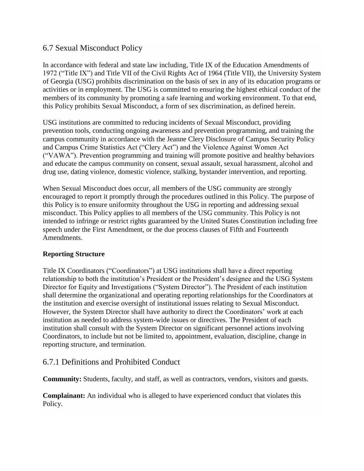#### 6.7 Sexual Misconduct Policy

In accordance with federal and state law including, Title IX of the Education Amendments of 1972 ("Title IX") and Title VII of the Civil Rights Act of 1964 (Title VII), the University System of Georgia (USG) prohibits discrimination on the basis of sex in any of its education programs or activities or in employment. The USG is committed to ensuring the highest ethical conduct of the members of its community by promoting a safe learning and working environment. To that end, this Policy prohibits Sexual Misconduct, a form of sex discrimination, as defined herein.

USG institutions are committed to reducing incidents of Sexual Misconduct, providing prevention tools, conducting ongoing awareness and prevention programming, and training the campus community in accordance with the Jeanne Clery Disclosure of Campus Security Policy and Campus Crime Statistics Act ("Clery Act") and the Violence Against Women Act ("VAWA"). Prevention programming and training will promote positive and healthy behaviors and educate the campus community on consent, sexual assault, sexual harassment, alcohol and drug use, dating violence, domestic violence, stalking, bystander intervention, and reporting.

When Sexual Misconduct does occur, all members of the USG community are strongly encouraged to report it promptly through the procedures outlined in this Policy. The purpose of this Policy is to ensure uniformity throughout the USG in reporting and addressing sexual misconduct. This Policy applies to all members of the USG community. This Policy is not intended to infringe or restrict rights guaranteed by the United States Constitution including free speech under the First Amendment, or the due process clauses of Fifth and Fourteenth Amendments.

#### **Reporting Structure**

Title IX Coordinators ("Coordinators") at USG institutions shall have a direct reporting relationship to both the institution's President or the President's designee and the USG System Director for Equity and Investigations ("System Director"). The President of each institution shall determine the organizational and operating reporting relationships for the Coordinators at the institution and exercise oversight of institutional issues relating to Sexual Misconduct. However, the System Director shall have authority to direct the Coordinators' work at each institution as needed to address system-wide issues or directives. The President of each institution shall consult with the System Director on significant personnel actions involving Coordinators, to include but not be limited to, appointment, evaluation, discipline, change in reporting structure, and termination.

## 6.7.1 Definitions and Prohibited Conduct

**Community:** Students, faculty, and staff, as well as contractors, vendors, visitors and guests.

**Complainant:** An individual who is alleged to have experienced conduct that violates this Policy.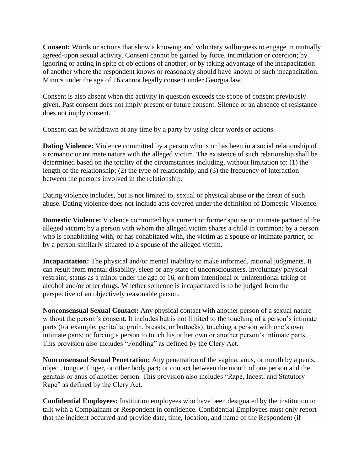**Consent:** Words or actions that show a knowing and voluntary willingness to engage in mutually agreed-upon sexual activity. Consent cannot be gained by force, intimidation or coercion; by ignoring or acting in spite of objections of another; or by taking advantage of the incapacitation of another where the respondent knows or reasonably should have known of such incapacitation. Minors under the age of 16 cannot legally consent under Georgia law.

Consent is also absent when the activity in question exceeds the scope of consent previously given. Past consent does not imply present or future consent. Silence or an absence of resistance does not imply consent.

Consent can be withdrawn at any time by a party by using clear words or actions.

**Dating Violence:** Violence committed by a person who is or has been in a social relationship of a romantic or intimate nature with the alleged victim. The existence of such relationship shall be determined based on the totality of the circumstances including, without limitation to: (1) the length of the relationship; (2) the type of relationship; and (3) the frequency of interaction between the persons involved in the relationship.

Dating violence includes, but is not limited to, sexual or physical abuse or the threat of such abuse. Dating violence does not include acts covered under the definition of Domestic Violence.

**Domestic Violence:** Violence committed by a current or former spouse or intimate partner of the alleged victim; by a person with whom the alleged victim shares a child in common; by a person who is cohabitating with, or has cohabitated with, the victim as a spouse or intimate partner, or by a person similarly situated to a spouse of the alleged victim.

**Incapacitation:** The physical and/or mental inability to make informed, rational judgments. It can result from mental disability, sleep or any state of unconsciousness, involuntary physical restraint, status as a minor under the age of 16, or from intentional or unintentional taking of alcohol and/or other drugs. Whether someone is incapacitated is to be judged from the perspective of an objectively reasonable person.

**Nonconsensual Sexual Contact:** Any physical contact with another person of a sexual nature without the person's consent. It includes but is not limited to the touching of a person's intimate parts (for example, genitalia, groin, breasts, or buttocks); touching a person with one's own intimate parts; or forcing a person to touch his or her own or another person's intimate parts. This provision also includes "Fondling" as defined by the Clery Act.

**Nonconsensual Sexual Penetration:** Any penetration of the vagina, anus, or mouth by a penis, object, tongue, finger, or other body part; or contact between the mouth of one person and the genitals or anus of another person. This provision also includes "Rape, Incest, and Statutory Rape" as defined by the Clery Act.

**Confidential Employees:** Institution employees who have been designated by the institution to talk with a Complainant or Respondent in confidence. Confidential Employees must only report that the incident occurred and provide date, time, location, and name of the Respondent (if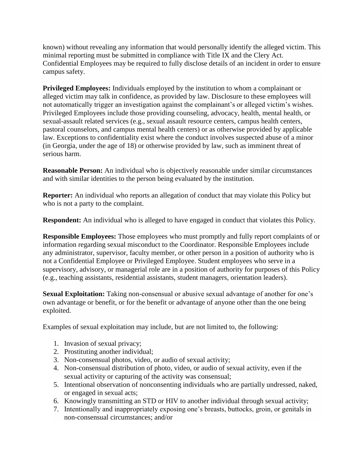known) without revealing any information that would personally identify the alleged victim. This minimal reporting must be submitted in compliance with Title IX and the Clery Act. Confidential Employees may be required to fully disclose details of an incident in order to ensure campus safety.

**Privileged Employees:** Individuals employed by the institution to whom a complainant or alleged victim may talk in confidence, as provided by law. Disclosure to these employees will not automatically trigger an investigation against the complainant's or alleged victim's wishes. Privileged Employees include those providing counseling, advocacy, health, mental health, or sexual-assault related services (e.g., sexual assault resource centers, campus health centers, pastoral counselors, and campus mental health centers) or as otherwise provided by applicable law. Exceptions to confidentiality exist where the conduct involves suspected abuse of a minor (in Georgia, under the age of 18) or otherwise provided by law, such as imminent threat of serious harm.

**Reasonable Person:** An individual who is objectively reasonable under similar circumstances and with similar identities to the person being evaluated by the institution.

**Reporter:** An individual who reports an allegation of conduct that may violate this Policy but who is not a party to the complaint.

**Respondent:** An individual who is alleged to have engaged in conduct that violates this Policy.

**Responsible Employees:** Those employees who must promptly and fully report complaints of or information regarding sexual misconduct to the Coordinator. Responsible Employees include any administrator, supervisor, faculty member, or other person in a position of authority who is not a Confidential Employee or Privileged Employee. Student employees who serve in a supervisory, advisory, or managerial role are in a position of authority for purposes of this Policy (e.g., teaching assistants, residential assistants, student managers, orientation leaders).

**Sexual Exploitation:** Taking non-consensual or abusive sexual advantage of another for one's own advantage or benefit, or for the benefit or advantage of anyone other than the one being exploited.

Examples of sexual exploitation may include, but are not limited to, the following:

- 1. Invasion of sexual privacy;
- 2. Prostituting another individual;
- 3. Non-consensual photos, video, or audio of sexual activity;
- 4. Non-consensual distribution of photo, video, or audio of sexual activity, even if the sexual activity or capturing of the activity was consensual;
- 5. Intentional observation of nonconsenting individuals who are partially undressed, naked, or engaged in sexual acts;
- 6. Knowingly transmitting an STD or HIV to another individual through sexual activity;
- 7. Intentionally and inappropriately exposing one's breasts, buttocks, groin, or genitals in non-consensual circumstances; and/or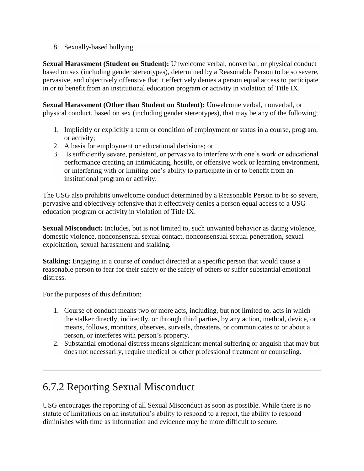8. Sexually-based bullying.

**Sexual Harassment (Student on Student):** Unwelcome verbal, nonverbal, or physical conduct based on sex (including gender stereotypes), determined by a Reasonable Person to be so severe, pervasive, and objectively offensive that it effectively denies a person equal access to participate in or to benefit from an institutional education program or activity in violation of Title IX.

**Sexual Harassment (Other than Student on Student):** Unwelcome verbal, nonverbal, or physical conduct, based on sex (including gender stereotypes), that may be any of the following:

- 1. Implicitly or explicitly a term or condition of employment or status in a course, program, or activity;
- 2. A basis for employment or educational decisions; or
- 3. Is sufficiently severe, persistent, or pervasive to interfere with one's work or educational performance creating an intimidating, hostile, or offensive work or learning environment, or interfering with or limiting one's ability to participate in or to benefit from an institutional program or activity.

The USG also prohibits unwelcome conduct determined by a Reasonable Person to be so severe, pervasive and objectively offensive that it effectively denies a person equal access to a USG education program or activity in violation of Title IX.

**Sexual Misconduct:** Includes, but is not limited to, such unwanted behavior as dating violence, domestic violence, nonconsensual sexual contact, nonconsensual sexual penetration, sexual exploitation, sexual harassment and stalking.

**Stalking:** Engaging in a course of conduct directed at a specific person that would cause a reasonable person to fear for their safety or the safety of others or suffer substantial emotional distress.

For the purposes of this definition:

- 1. Course of conduct means two or more acts, including, but not limited to, acts in which the stalker directly, indirectly, or through third parties, by any action, method, device, or means, follows, monitors, observes, surveils, threatens, or communicates to or about a person, or interferes with person's property.
- 2. Substantial emotional distress means significant mental suffering or anguish that may but does not necessarily, require medical or other professional treatment or counseling.

# 6.7.2 Reporting Sexual Misconduct

USG encourages the reporting of all Sexual Misconduct as soon as possible. While there is no statute of limitations on an institution's ability to respond to a report, the ability to respond diminishes with time as information and evidence may be more difficult to secure.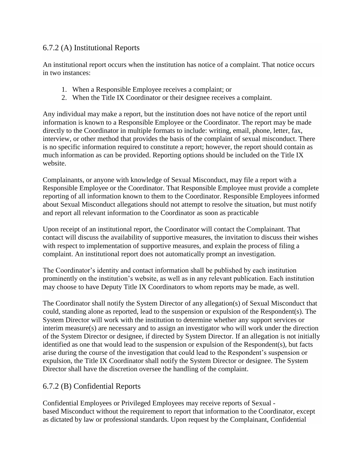#### 6.7.2 (A) Institutional Reports

An institutional report occurs when the institution has notice of a complaint. That notice occurs in two instances:

- 1. When a Responsible Employee receives a complaint; or
- 2. When the Title IX Coordinator or their designee receives a complaint.

Any individual may make a report, but the institution does not have notice of the report until information is known to a Responsible Employee or the Coordinator. The report may be made directly to the Coordinator in multiple formats to include: writing, email, phone, letter, fax, interview, or other method that provides the basis of the complaint of sexual misconduct. There is no specific information required to constitute a report; however, the report should contain as much information as can be provided. Reporting options should be included on the Title IX website.

Complainants, or anyone with knowledge of Sexual Misconduct, may file a report with a Responsible Employee or the Coordinator. That Responsible Employee must provide a complete reporting of all information known to them to the Coordinator. Responsible Employees informed about Sexual Misconduct allegations should not attempt to resolve the situation, but must notify and report all relevant information to the Coordinator as soon as practicable

Upon receipt of an institutional report, the Coordinator will contact the Complainant. That contact will discuss the availability of supportive measures, the invitation to discuss their wishes with respect to implementation of supportive measures, and explain the process of filing a complaint. An institutional report does not automatically prompt an investigation.

The Coordinator's identity and contact information shall be published by each institution prominently on the institution's website, as well as in any relevant publication. Each institution may choose to have Deputy Title IX Coordinators to whom reports may be made, as well.

The Coordinator shall notify the System Director of any allegation(s) of Sexual Misconduct that could, standing alone as reported, lead to the suspension or expulsion of the Respondent(s). The System Director will work with the institution to determine whether any support services or interim measure(s) are necessary and to assign an investigator who will work under the direction of the System Director or designee, if directed by System Director. If an allegation is not initially identified as one that would lead to the suspension or expulsion of the Respondent(s), but facts arise during the course of the investigation that could lead to the Respondent's suspension or expulsion, the Title IX Coordinator shall notify the System Director or designee. The System Director shall have the discretion oversee the handling of the complaint.

## 6.7.2 (B) Confidential Reports

Confidential Employees or Privileged Employees may receive reports of Sexual based Misconduct without the requirement to report that information to the Coordinator, except as dictated by law or professional standards. Upon request by the Complainant, Confidential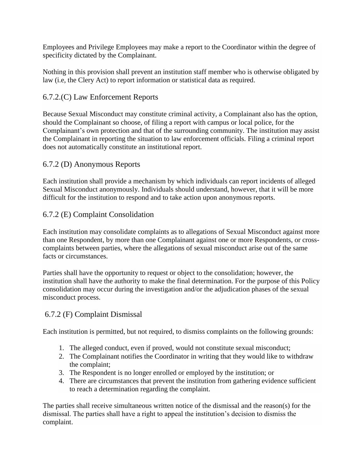Employees and Privilege Employees may make a report to the Coordinator within the degree of specificity dictated by the Complainant.

Nothing in this provision shall prevent an institution staff member who is otherwise obligated by law (i.e, the Clery Act) to report information or statistical data as required.

## 6.7.2.(C) Law Enforcement Reports

Because Sexual Misconduct may constitute criminal activity, a Complainant also has the option, should the Complainant so choose, of filing a report with campus or local police, for the Complainant's own protection and that of the surrounding community. The institution may assist the Complainant in reporting the situation to law enforcement officials. Filing a criminal report does not automatically constitute an institutional report.

## 6.7.2 (D) Anonymous Reports

Each institution shall provide a mechanism by which individuals can report incidents of alleged Sexual Misconduct anonymously. Individuals should understand, however, that it will be more difficult for the institution to respond and to take action upon anonymous reports.

## 6.7.2 (E) Complaint Consolidation

Each institution may consolidate complaints as to allegations of Sexual Misconduct against more than one Respondent, by more than one Complainant against one or more Respondents, or crosscomplaints between parties, where the allegations of sexual misconduct arise out of the same facts or circumstances.

Parties shall have the opportunity to request or object to the consolidation; however, the institution shall have the authority to make the final determination. For the purpose of this Policy consolidation may occur during the investigation and/or the adjudication phases of the sexual misconduct process.

## 6.7.2 (F) Complaint Dismissal

Each institution is permitted, but not required, to dismiss complaints on the following grounds:

- 1. The alleged conduct, even if proved, would not constitute sexual misconduct;
- 2. The Complainant notifies the Coordinator in writing that they would like to withdraw the complaint;
- 3. The Respondent is no longer enrolled or employed by the institution; or
- 4. There are circumstances that prevent the institution from gathering evidence sufficient to reach a determination regarding the complaint.

The parties shall receive simultaneous written notice of the dismissal and the reason(s) for the dismissal. The parties shall have a right to appeal the institution's decision to dismiss the complaint.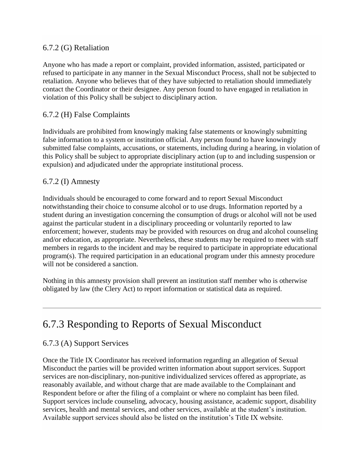#### 6.7.2 (G) Retaliation

Anyone who has made a report or complaint, provided information, assisted, participated or refused to participate in any manner in the Sexual Misconduct Process, shall not be subjected to retaliation. Anyone who believes that of they have subjected to retaliation should immediately contact the Coordinator or their designee. Any person found to have engaged in retaliation in violation of this Policy shall be subject to disciplinary action.

#### 6.7.2 (H) False Complaints

Individuals are prohibited from knowingly making false statements or knowingly submitting false information to a system or institution official. Any person found to have knowingly submitted false complaints, accusations, or statements, including during a hearing, in violation of this Policy shall be subject to appropriate disciplinary action (up to and including suspension or expulsion) and adjudicated under the appropriate institutional process.

#### 6.7.2 (I) Amnesty

Individuals should be encouraged to come forward and to report Sexual Misconduct notwithstanding their choice to consume alcohol or to use drugs. Information reported by a student during an investigation concerning the consumption of drugs or alcohol will not be used against the particular student in a disciplinary proceeding or voluntarily reported to law enforcement; however, students may be provided with resources on drug and alcohol counseling and/or education, as appropriate. Nevertheless, these students may be required to meet with staff members in regards to the incident and may be required to participate in appropriate educational program(s). The required participation in an educational program under this amnesty procedure will not be considered a sanction.

Nothing in this amnesty provision shall prevent an institution staff member who is otherwise obligated by law (the Clery Act) to report information or statistical data as required.

## 6.7.3 Responding to Reports of Sexual Misconduct

#### 6.7.3 (A) Support Services

Once the Title IX Coordinator has received information regarding an allegation of Sexual Misconduct the parties will be provided written information about support services. Support services are non-disciplinary, non-punitive individualized services offered as appropriate, as reasonably available, and without charge that are made available to the Complainant and Respondent before or after the filing of a complaint or where no complaint has been filed. Support services include counseling, advocacy, housing assistance, academic support, disability services, health and mental services, and other services, available at the student's institution. Available support services should also be listed on the institution's Title IX website.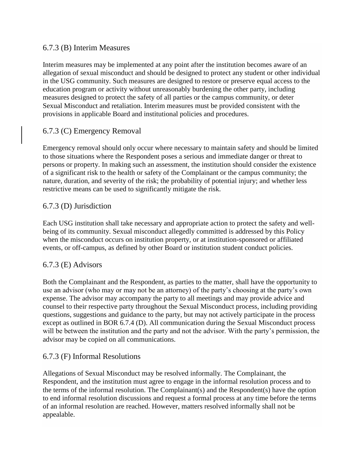#### 6.7.3 (B) Interim Measures

Interim measures may be implemented at any point after the institution becomes aware of an allegation of sexual misconduct and should be designed to protect any student or other individual in the USG community. Such measures are designed to restore or preserve equal access to the education program or activity without unreasonably burdening the other party, including measures designed to protect the safety of all parties or the campus community, or deter Sexual Misconduct and retaliation. Interim measures must be provided consistent with the provisions in applicable Board and institutional policies and procedures.

#### 6.7.3 (C) Emergency Removal

Emergency removal should only occur where necessary to maintain safety and should be limited to those situations where the Respondent poses a serious and immediate danger or threat to persons or property. In making such an assessment, the institution should consider the existence of a significant risk to the health or safety of the Complainant or the campus community; the nature, duration, and severity of the risk; the probability of potential injury; and whether less restrictive means can be used to significantly mitigate the risk.

#### 6.7.3 (D) Jurisdiction

Each USG institution shall take necessary and appropriate action to protect the safety and wellbeing of its community. Sexual misconduct allegedly committed is addressed by this Policy when the misconduct occurs on institution property, or at institution-sponsored or affiliated events, or off-campus, as defined by other Board or institution student conduct policies.

#### 6.7.3 (E) Advisors

Both the Complainant and the Respondent, as parties to the matter, shall have the opportunity to use an advisor (who may or may not be an attorney) of the party's choosing at the party's own expense. The advisor may accompany the party to all meetings and may provide advice and counsel to their respective party throughout the Sexual Misconduct process, including providing questions, suggestions and guidance to the party, but may not actively participate in the process except as outlined in BOR 6.7.4 (D). All communication during the Sexual Misconduct process will be between the institution and the party and not the advisor. With the party's permission, the advisor may be copied on all communications.

#### 6.7.3 (F) Informal Resolutions

Allegations of Sexual Misconduct may be resolved informally. The Complainant, the Respondent, and the institution must agree to engage in the informal resolution process and to the terms of the informal resolution. The Complainant(s) and the Respondent(s) have the option to end informal resolution discussions and request a formal process at any time before the terms of an informal resolution are reached. However, matters resolved informally shall not be appealable.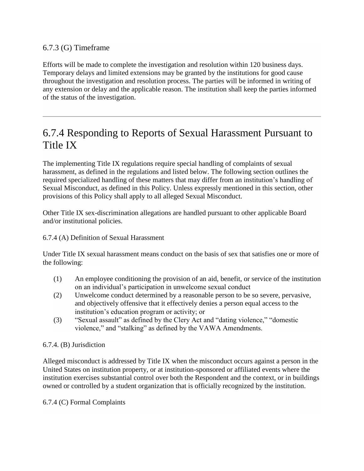#### 6.7.3 (G) Timeframe

Efforts will be made to complete the investigation and resolution within 120 business days. Temporary delays and limited extensions may be granted by the institutions for good cause throughout the investigation and resolution process. The parties will be informed in writing of any extension or delay and the applicable reason. The institution shall keep the parties informed of the status of the investigation.

## 6.7.4 Responding to Reports of Sexual Harassment Pursuant to Title IX

The implementing Title IX regulations require special handling of complaints of sexual harassment, as defined in the regulations and listed below. The following section outlines the required specialized handling of these matters that may differ from an institution's handling of Sexual Misconduct, as defined in this Policy. Unless expressly mentioned in this section, other provisions of this Policy shall apply to all alleged Sexual Misconduct.

Other Title IX sex-discrimination allegations are handled pursuant to other applicable Board and/or institutional policies.

#### 6.7.4 (A) Definition of Sexual Harassment

Under Title IX sexual harassment means conduct on the basis of sex that satisfies one or more of the following:

- (1) An employee conditioning the provision of an aid, benefit, or service of the institution on an individual's participation in unwelcome sexual conduct
- (2) Unwelcome conduct determined by a reasonable person to be so severe, pervasive, and objectively offensive that it effectively denies a person equal access to the institution's education program or activity; or
- (3) "Sexual assault" as defined by the Clery Act and "dating violence," "domestic violence," and "stalking" as defined by the VAWA Amendments.

#### 6.7.4. (B) Jurisdiction

Alleged misconduct is addressed by Title IX when the misconduct occurs against a person in the United States on institution property, or at institution-sponsored or affiliated events where the institution exercises substantial control over both the Respondent and the context, or in buildings owned or controlled by a student organization that is officially recognized by the institution.

#### 6.7.4 (C) Formal Complaints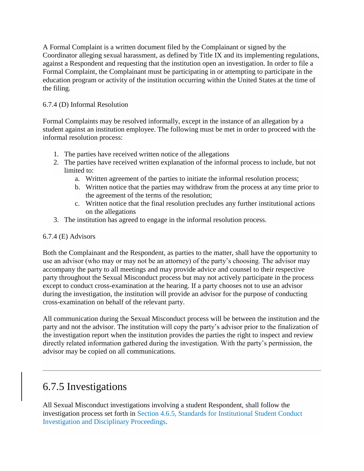A Formal Complaint is a written document filed by the Complainant or signed by the Coordinator alleging sexual harassment, as defined by Title IX and its implementing regulations, against a Respondent and requesting that the institution open an investigation. In order to file a Formal Complaint, the Complainant must be participating in or attempting to participate in the education program or activity of the institution occurring within the United States at the time of the filing.

#### 6.7.4 (D) Informal Resolution

Formal Complaints may be resolved informally, except in the instance of an allegation by a student against an institution employee. The following must be met in order to proceed with the informal resolution process:

- 1. The parties have received written notice of the allegations
- 2. The parties have received written explanation of the informal process to include, but not limited to:
	- a. Written agreement of the parties to initiate the informal resolution process;
	- b. Written notice that the parties may withdraw from the process at any time prior to the agreement of the terms of the resolution;
	- c. Written notice that the final resolution precludes any further institutional actions on the allegations
- 3. The institution has agreed to engage in the informal resolution process.

#### 6.7.4 (E) Advisors

Both the Complainant and the Respondent, as parties to the matter, shall have the opportunity to use an advisor (who may or may not be an attorney) of the party's choosing. The advisor may accompany the party to all meetings and may provide advice and counsel to their respective party throughout the Sexual Misconduct process but may not actively participate in the process except to conduct cross-examination at the hearing. If a party chooses not to use an advisor during the investigation, the institution will provide an advisor for the purpose of conducting cross-examination on behalf of the relevant party.

All communication during the Sexual Misconduct process will be between the institution and the party and not the advisor. The institution will copy the party's advisor prior to the finalization of the investigation report when the institution provides the parties the right to inspect and review directly related information gathered during the investigation. With the party's permission, the advisor may be copied on all communications.

## 6.7.5 Investigations

All Sexual Misconduct investigations involving a student Respondent, shall follow the investigation process set forth in [Section 4.6.5, Standards for Institutional Student Conduct](https://www.usg.edu/policymanual/section4/C332/#p4.6.5_standards_for_institutional_student_conduct_investigation)  [Investigation and Disciplinary Proceedings.](https://www.usg.edu/policymanual/section4/C332/#p4.6.5_standards_for_institutional_student_conduct_investigation)